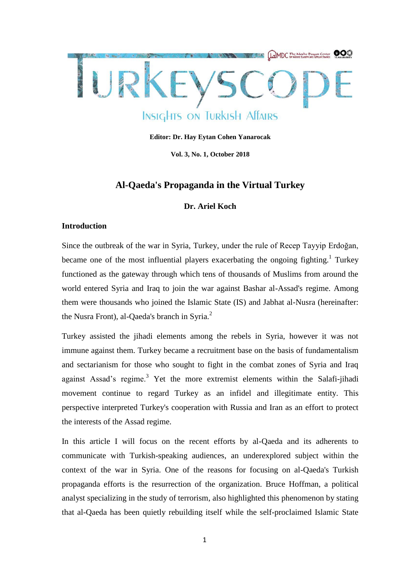

**Editor: Dr. Hay Eytan Cohen Yanarocak**

**Vol. 3, No. 1, October 2018**

# **Al-Qaeda's Propaganda in the Virtual Turkey**

### **Dr. Ariel Koch**

#### **Introduction**

Since the outbreak of the war in Syria, Turkey, under the rule of Recep Tayyip Erdoğan, became one of the most influential players exacerbating the ongoing fighting.<sup>1</sup> Turkey functioned as the gateway through which tens of thousands of Muslims from around the world entered Syria and Iraq to join the war against Bashar al-Assad's regime. Among them were thousands who joined the Islamic State (IS) and Jabhat al-Nusra (hereinafter: the Nusra Front), al-Qaeda's branch in Syria.<sup>2</sup>

Turkey assisted the jihadi elements among the rebels in Syria, however it was not immune against them. Turkey became a recruitment base on the basis of fundamentalism and sectarianism for those who sought to fight in the combat zones of Syria and Iraq against Assad's regime.<sup>3</sup> Yet the more extremist elements within the Salafi-jihadi movement continue to regard Turkey as an infidel and illegitimate entity. This perspective interpreted Turkey's cooperation with Russia and Iran as an effort to protect the interests of the Assad regime.

In this article I will focus on the recent efforts by al-Qaeda and its adherents to communicate with Turkish-speaking audiences, an underexplored subject within the context of the war in Syria. One of the reasons for focusing on al-Qaeda's Turkish propaganda efforts is the resurrection of the organization. Bruce Hoffman, a political analyst specializing in the study of terrorism, also highlighted this phenomenon by stating that al-Qaeda has been quietly rebuilding itself while the self-proclaimed Islamic State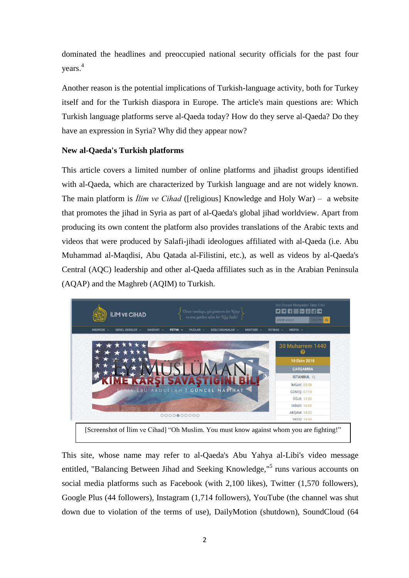dominated the headlines and preoccupied national security officials for the past four years. 4

Another reason is the potential implications of Turkish-language activity, both for Turkey itself and for the Turkish diaspora in Europe. The article's main questions are: Which Turkish language platforms serve al-Qaeda today? How do they serve al-Qaeda? Do they have an expression in Syria? Why did they appear now?

## **New al-Qaeda's Turkish platforms**

This article covers a limited number of online platforms and jihadist groups identified with al-Qaeda, which are characterized by Turkish language and are not widely known. The main platform is *İlim ve Cihad* ([religious] Knowledge and Holy War) – a website that promotes the jihad in Syria as part of al-Qaeda's global jihad worldview. Apart from producing its own content the platform also provides translations of the Arabic texts and videos that were produced by Salafi-jihadi ideologues affiliated with al-Qaeda (i.e. Abu Muhammad al-Maqdisi, Abu Qatada al-Filistini, etc.), as well as videos by al-Qaeda's Central (AQC) leadership and other al-Qaeda affiliates such as in the Arabian Peninsula (AQAP) and the Maghreb (AQIM) to Turkish.



This site, whose name may refer to al-Qaeda's Abu Yahya al-Libi's video message entitled, "Balancing Between Jihad and Seeking Knowledge,"<sup>5</sup> runs various accounts on social media platforms such as Facebook (with 2,100 likes), Twitter (1,570 followers), Google Plus (44 followers), Instagram (1,714 followers), YouTube (the channel was shut down due to violation of the terms of use), DailyMotion (shutdown), SoundCloud (64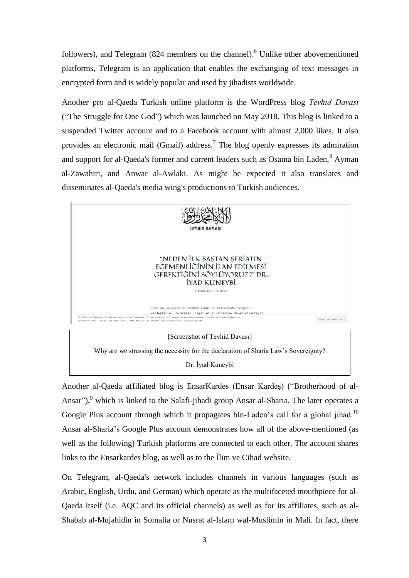followers), and Telegram (824 members on the channel).<sup>6</sup> Unlike other abovementioned platforms, Telegram is an application that enables the exchanging of text messages in encrypted form and is widely popular and used by jihadists worldwide.

Another pro al-Qaeda Turkish online platform is the WordPress blog *Tevhid Davası* ("The Struggle for One God") which was launched on May 2018. This blog is linked to a suspended Twitter account and to a Facebook account with almost 2,000 likes. It also provides an electronic mail (Gmail) address.<sup>7</sup> The blog openly expresses its admiration and support for al-Qaeda's former and current leaders such as Osama bin Laden,<sup>8</sup> Ayman al-Zawahiri, and Anwar al-Awlaki. As might be expected it also translates and disseminates al-Qaeda's media wing's productions to Turkish audiences.



Another al-Qaeda affiliated blog is EnsarKardes (Ensar Kardeş) ("Brotherhood of al-Ansar"), $9$  which is linked to the Salafi-jihadi group Ansar al-Sharia. The later operates a Google Plus account through which it propagates bin-Laden's call for a global jihad.<sup>10</sup> Ansar al-Sharia's Google Plus account demonstrates how all of the above-mentioned (as well as the following) Turkish platforms are connected to each other. The account shares links to the Ensarkardes blog, as well as to the İlim ve Cihad website.

On Telegram, al-Qaeda's network includes channels in various languages (such as Arabic, English, Urdu, and German) which operate as the multifaceted mouthpiece for al-Qaeda itself (i.e. AQC and its official channels) as well as for its affiliates, such as al-Shabab al-Mujahidin in Somalia or Nusrat al-Islam wal-Muslimin in Mali. In fact, there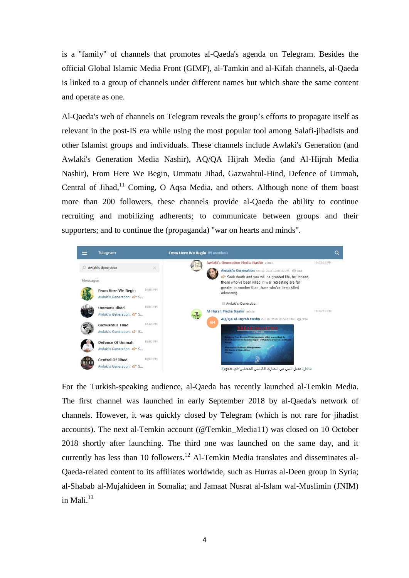is a "family" of channels that promotes al-Qaeda's agenda on Telegram. Besides the official Global Islamic Media Front (GIMF), al-Tamkin and al-Kifah channels, al-Qaeda is linked to a group of channels under different names but which share the same content and operate as one.

Al-Qaeda's web of channels on Telegram reveals the group's efforts to propagate itself as relevant in the post-IS era while using the most popular tool among Salafi-jihadists and other Islamist groups and individuals. These channels include Awlaki's Generation (and Awlaki's Generation Media Nashir), AQ/QA Hijrah Media (and Al-Hijrah Media Nashir), From Here We Begin, Ummatu Jihad, Gazwahtul-Hind, Defence of Ummah, Central of Jihad, $11$  Coming, O Aqsa Media, and others. Although none of them boast more than 200 followers, these channels provide al-Qaeda the ability to continue recruiting and mobilizing adherents; to communicate between groups and their supporters; and to continue the (propaganda) "war on hearts and minds".



For the Turkish-speaking audience, al-Qaeda has recently launched al-Temkin Media. The first channel was launched in early September 2018 by al-Qaeda's network of channels. However, it was quickly closed by Telegram (which is not rare for jihadist accounts). The next al-Temkin account (@Temkin\_Media11) was closed on 10 October 2018 shortly after launching. The third one was launched on the same day, and it currently has less than 10 followers.<sup>12</sup> Al-Temkin Media translates and disseminates al-Qaeda-related content to its affiliates worldwide, such as Hurras al-Deen group in Syria; al-Shabab al-Mujahideen in Somalia; and Jamaat Nusrat al-Islam wal-Muslimin (JNIM) in Mali. $^{13}$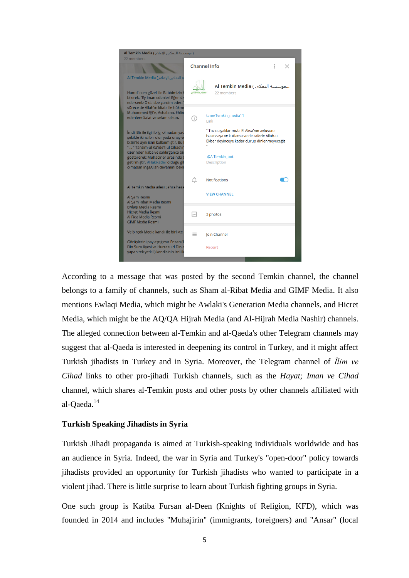

According to a message that was posted by the second Temkin channel, the channel belongs to a family of channels, such as Sham al-Ribat Media and GIMF Media. It also mentions Ewlaqi Media, which might be Awlaki's Generation Media channels, and Hicret Media, which might be the AQ/QA Hijrah Media (and Al-Hijrah Media Nashir) channels. The alleged connection between al-Temkin and al-Qaeda's other Telegram channels may suggest that al-Qaeda is interested in deepening its control in Turkey, and it might affect Turkish jihadists in Turkey and in Syria. Moreover, the Telegram channel of *İlim ve Cihad* links to other pro-jihadi Turkish channels, such as the *Hayat; Iman ve Cihad* channel, which shares al-Temkin posts and other posts by other channels affiliated with al-Qaeda.<sup>14</sup>

## **Turkish Speaking Jihadists in Syria**

Turkish Jihadi propaganda is aimed at Turkish-speaking individuals worldwide and has an audience in Syria. Indeed, the war in Syria and Turkey's "open-door" policy towards jihadists provided an opportunity for Turkish jihadists who wanted to participate in a violent jihad. There is little surprise to learn about Turkish fighting groups in Syria.

One such group is Katiba Fursan al-Deen (Knights of Religion, KFD), which was founded in 2014 and includes "Muhajirin" (immigrants, foreigners) and "Ansar" (local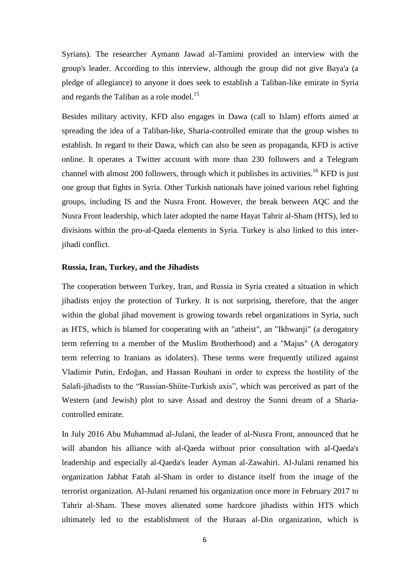Syrians). The researcher Aymann Jawad al-Tamimi provided an interview with the group's leader. According to this interview, although the group did not give Baya'a (a pledge of allegiance) to anyone it does seek to establish a Taliban-like emirate in Syria and regards the Taliban as a role model.<sup>15</sup>

Besides military activity, KFD also engages in Dawa (call to Islam) efforts aimed at spreading the idea of a Taliban-like, Sharia-controlled emirate that the group wishes to establish. In regard to their Dawa, which can also be seen as propaganda, KFD is active online. It operates a Twitter account with more than 230 followers and a Telegram channel with almost 200 followers, through which it publishes its activities.<sup>16</sup> KFD is just one group that fights in Syria. Other Turkish nationals have joined various rebel fighting groups, including IS and the Nusra Front. However, the break between AQC and the Nusra Front leadership, which later adopted the name Hayat Tahrir al-Sham (HTS), led to divisions within the pro-al-Qaeda elements in Syria. Turkey is also linked to this interjihadi conflict.

#### **Russia, Iran, Turkey, and the Jihadists**

The cooperation between Turkey, Iran, and Russia in Syria created a situation in which jihadists enjoy the protection of Turkey. It is not surprising, therefore, that the anger within the global jihad movement is growing towards rebel organizations in Syria, such as HTS, which is blamed for cooperating with an "atheist", an "Ikhwanji" (a derogatory term referring to a member of the Muslim Brotherhood) and a "Majus" (A derogatory term referring to Iranians as idolaters). These terms were frequently utilized against Vladimir Putin, Erdoğan, and Hassan Rouhani in order to express the hostility of the Salafi-jihadists to the "Russian-Shiite-Turkish axis", which was perceived as part of the Western (and Jewish) plot to save Assad and destroy the Sunni dream of a Shariacontrolled emirate.

In July 2016 Abu Muhammad al-Julani, the leader of al-Nusra Front, announced that he will abandon his alliance with al-Qaeda without prior consultation with al-Qaeda's leadership and especially al-Qaeda's leader Ayman al-Zawahiri. Al-Julani renamed his organization Jabhat Fatah al-Sham in order to distance itself from the image of the terrorist organization. Al-Julani renamed his organization once more in February 2017 to Tahrir al-Sham. These moves alienated some hardcore jihadists within HTS which ultimately led to the establishment of the Huraas al-Din organization, which is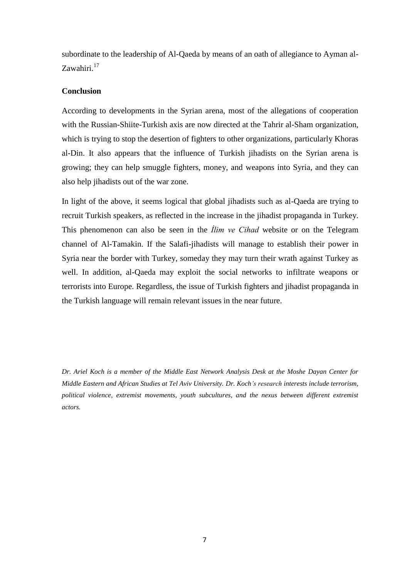subordinate to the leadership of Al-Qaeda by means of an oath of allegiance to Ayman al-Zawahiri.<sup>17</sup>

### **Conclusion**

According to developments in the Syrian arena, most of the allegations of cooperation with the Russian-Shiite-Turkish axis are now directed at the Tahrir al-Sham organization, which is trying to stop the desertion of fighters to other organizations, particularly Khoras al-Din. It also appears that the influence of Turkish jihadists on the Syrian arena is growing; they can help smuggle fighters, money, and weapons into Syria, and they can also help jihadists out of the war zone.

In light of the above, it seems logical that global jihadists such as al-Qaeda are trying to recruit Turkish speakers, as reflected in the increase in the jihadist propaganda in Turkey. This phenomenon can also be seen in the *İlim ve Cihad* website or on the Telegram channel of Al-Tamakin. If the Salafi-jihadists will manage to establish their power in Syria near the border with Turkey, someday they may turn their wrath against Turkey as well. In addition, al-Qaeda may exploit the social networks to infiltrate weapons or terrorists into Europe. Regardless, the issue of Turkish fighters and jihadist propaganda in the Turkish language will remain relevant issues in the near future.

*Dr. Ariel Koch is a member of the Middle East Network Analysis Desk at the Moshe Dayan Center for Middle Eastern and African Studies at Tel Aviv University. Dr. Koch's research interests include terrorism, political violence, extremist movements, youth subcultures, and the nexus between different extremist actors.*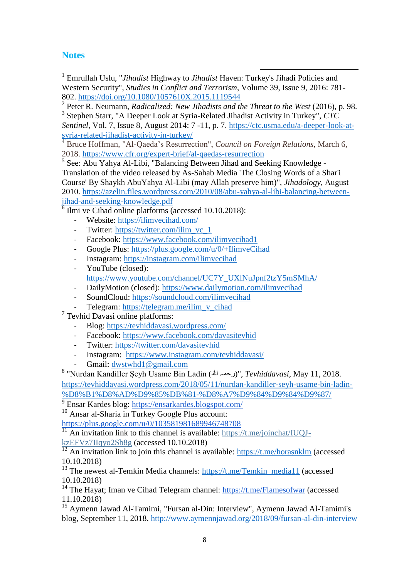## **Notes**

 1 Emrullah Uslu, "*Jihadist* Highway to *Jihadist* Haven: Turkey's Jihadi Policies and Western Security", *Studies in Conflict and Terrorism*, Volume 39, Issue 9, 2016: 781- 802.<https://doi.org/10.1080/1057610X.2015.1119544>

2 Peter R. Neumann, *Radicalized: New Jihadists and the Threat to the West* (2016), p. 98.

3 Stephen Starr, "A Deeper Look at Syria-Related Jihadist Activity in Turkey", *CTC Sentinel*, Vol. 7, Issue 8, August 2014: 7 -11, p. 7. [https://ctc.usma.edu/a-deeper-look-at](https://ctc.usma.edu/a-deeper-look-at-syria-related-jihadist-activity-in-turkey/)[syria-related-jihadist-activity-in-turkey/](https://ctc.usma.edu/a-deeper-look-at-syria-related-jihadist-activity-in-turkey/)<br><sup>4</sup> Bruce Heff: **All All Activity** 

<sup>4</sup> Bruce Hoffman, "Al-Qaeda's Resurrection", *Council on Foreign Relations*, March 6, 2018.<https://www.cfr.org/expert-brief/al-qaedas-resurrection>

<sup>5</sup> See: Abu Yahya Al-Libi, "Balancing Between Jihad and Seeking Knowledge -Translation of the video released by As-Sahab Media 'The Closing Words of a Shar'i Course' By Shaykh AbuYahya Al-Libi (may Allah preserve him)", *Jihadology*, August 2010. [https://azelin.files.wordpress.com/2010/08/abu-yahya-al-libi-balancing-between](https://azelin.files.wordpress.com/2010/08/abu-yahya-al-libi-balancing-between-jihad-and-seeking-knowledge.pdf)[jihad-and-seeking-knowledge.pdf](https://azelin.files.wordpress.com/2010/08/abu-yahya-al-libi-balancing-between-jihad-and-seeking-knowledge.pdf)

6 Ilmi ve Cihad online platforms (accessed 10.10.2018):

- Website:<https://ilimvecihad.com/>
- Twitter: [https://twitter.com/ilim\\_vc\\_1](https://twitter.com/ilim_vc_1)
- Facebook:<https://www.facebook.com/ilimvecihad1>
- Google Plus:<https://plus.google.com/u/0/+IlimveCihad>
- Instagram:<https://instagram.com/ilimvecihad>
- YouTube (closed): [https://www.youtube.com/channel/UC7Y\\_UXlNuJpnf2tzY5mSMhA/](https://www.youtube.com/channel/UC7Y_UXlNuJpnf2tzY5mSMhA/)
- DailyMotion (closed):<https://www.dailymotion.com/ilimvecihad>
- SoundCloud:<https://soundcloud.com/ilimvecihad>
- Telegram: [https://telegram.me/ilim\\_v\\_cihad](https://telegram.me/ilim_v_cihad)

7 Tevhid Davasi online platforms:

- Blog:<https://tevhiddavasi.wordpress.com/>
- Facebook:<https://www.facebook.com/davasitevhid><br>- Twitter: https://twitter.com/davasitevhid
- Twitter:<https://twitter.com/davasitevhid>
- Instagram: <https://www.instagram.com/tevhiddavasi/>
- Gmail: [dwstwhd1@gmail.com](mailto:dwstwhd1@gmail.com)

<sup>8</sup> "Nurdan Kandiller Şeyh Usame Bin Ladin (رحمہ الله)", *Tevhiddavasi*, May 11, 2018. [https://tevhiddavasi.wordpress.com/2018/05/11/nurdan-kandiller-seyh-usame-bin-ladin-](https://tevhiddavasi.wordpress.com/2018/05/11/nurdan-kandiller-seyh-usame-bin-ladin-%D8%B1%D8%AD%D9%85%DB%81-%D8%A7%D9%84%D9%84%D9%87/) [%D8%B1%D8%AD%D9%85%DB%81-%D8%A7%D9%84%D9%84%D9%87/](https://tevhiddavasi.wordpress.com/2018/05/11/nurdan-kandiller-seyh-usame-bin-ladin-%D8%B1%D8%AD%D9%85%DB%81-%D8%A7%D9%84%D9%84%D9%87/)

<sup>9</sup> Ensar Kardes blog:<https://ensarkardes.blogspot.com/>

<sup>10</sup> Ansar al-Sharia in Turkey Google Plus account:

<https://plus.google.com/u/0/103581981689946748708>

 $\frac{11}{11}$  An invitation link to this channel is available: [https://t.me/joinchat/IUQJ](about:blank)[kzEFVz7IIqyo2Sb8g](about:blank) (accessed 10.10.2018)

 $\frac{12}{12}$  An invitation link to join this channel is available:<https://t.me/horasnklm> (accessed 10.10.2018)

<sup>13</sup> The newest al-Temkin Media channels: [https://t.me/Temkin\\_media11](https://t.me/Temkin_media11) (accessed) 10.10.2018)

<sup>14</sup> The Hayat; Iman ve Cihad Telegram channel:  $\frac{https://t.me/Flamesofwar}$  (accessed) 11.10.2018)

<sup>15</sup> Aymenn Jawad Al-Tamimi, "Fursan al-Din: Interview", Aymenn Jawad Al-Tamimi's blog, September 11, 2018.<http://www.aymennjawad.org/2018/09/fursan-al-din-interview>